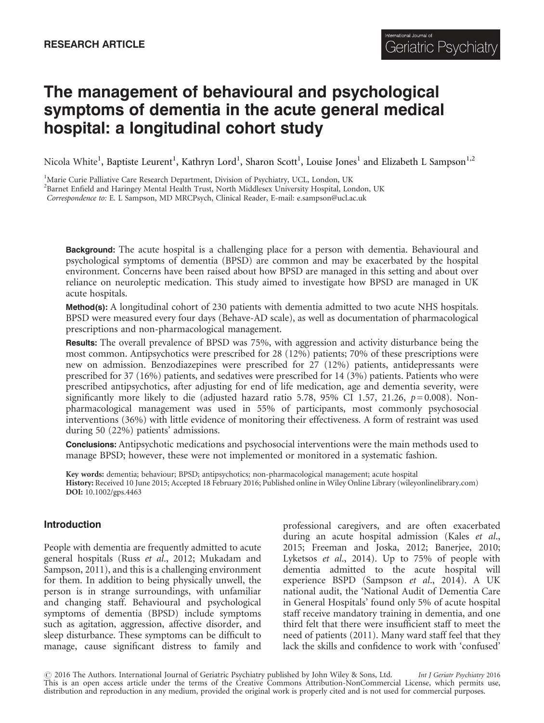# The management of behavioural and psychological symptoms of dementia in the acute general medical hospital: a longitudinal cohort study

Nicola White<sup>1</sup>, Baptiste Leurent<sup>1</sup>, Kathryn Lord<sup>1</sup>, Sharon Scott<sup>1</sup>, Louise Jones<sup>1</sup> and Elizabeth L Sampson<sup>1,2</sup>

<sup>1</sup>Marie Curie Palliative Care Research Department, Division of Psychiatry, UCL, London, UK

2 Barnet Enfield and Haringey Mental Health Trust, North Middlesex University Hospital, London, UK

Correspondence to: E. L Sampson, MD MRCPsych, Clinical Reader, E-mail: e.sampson@ucl.ac.uk

Background: The acute hospital is a challenging place for a person with dementia. Behavioural and psychological symptoms of dementia (BPSD) are common and may be exacerbated by the hospital environment. Concerns have been raised about how BPSD are managed in this setting and about over reliance on neuroleptic medication. This study aimed to investigate how BPSD are managed in UK acute hospitals.

Method(s): A longitudinal cohort of 230 patients with dementia admitted to two acute NHS hospitals. BPSD were measured every four days (Behave-AD scale), as well as documentation of pharmacological prescriptions and non-pharmacological management.

Results: The overall prevalence of BPSD was 75%, with aggression and activity disturbance being the most common. Antipsychotics were prescribed for 28 (12%) patients; 70% of these prescriptions were new on admission. Benzodiazepines were prescribed for 27 (12%) patients, antidepressants were prescribed for 37 (16%) patients, and sedatives were prescribed for 14 (3%) patients. Patients who were prescribed antipsychotics, after adjusting for end of life medication, age and dementia severity, were significantly more likely to die (adjusted hazard ratio 5.78, 95% CI 1.57, 21.26,  $p=0.008$ ). Nonpharmacological management was used in 55% of participants, most commonly psychosocial interventions (36%) with little evidence of monitoring their effectiveness. A form of restraint was used during 50 (22%) patients' admissions.

Conclusions: Antipsychotic medications and psychosocial interventions were the main methods used to manage BPSD; however, these were not implemented or monitored in a systematic fashion.

Key words: dementia; behaviour; BPSD; antipsychotics; non-pharmacological management; acute hospital History: Received 10 June 2015; Accepted 18 February 2016; Published online in Wiley Online Library (wileyonlinelibrary.com) DOI: 10.1002/gps.4463

# Introduction

People with dementia are frequently admitted to acute general hospitals (Russ et al., 2012; Mukadam and Sampson, 2011), and this is a challenging environment for them. In addition to being physically unwell, the person is in strange surroundings, with unfamiliar and changing staff. Behavioural and psychological symptoms of dementia (BPSD) include symptoms such as agitation, aggression, affective disorder, and sleep disturbance. These symptoms can be difficult to manage, cause significant distress to family and professional caregivers, and are often exacerbated during an acute hospital admission (Kales et al., 2015; Freeman and Joska, 2012; Banerjee, 2010; Lyketsos et al., 2014). Up to 75% of people with dementia admitted to the acute hospital will experience BSPD (Sampson et al., 2014). A UK national audit, the 'National Audit of Dementia Care in General Hospitals' found only 5% of acute hospital staff receive mandatory training in dementia, and one third felt that there were insufficient staff to meet the need of patients (2011). Many ward staff feel that they lack the skills and confidence to work with 'confused'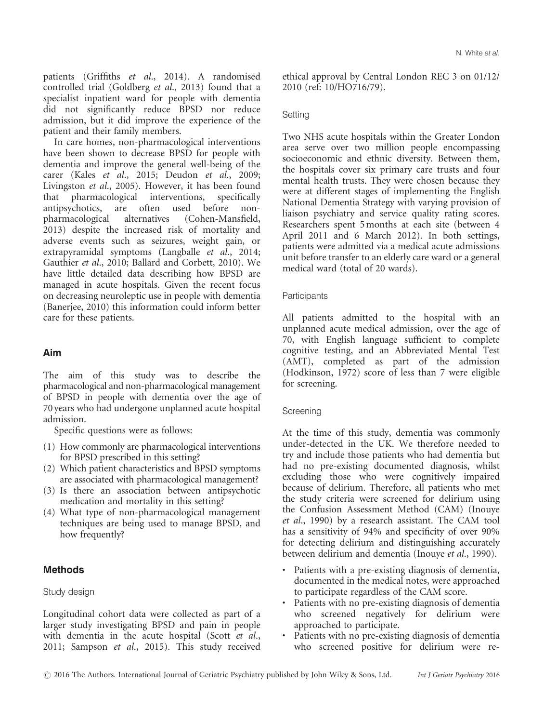patients (Griffiths et al., 2014). A randomised controlled trial (Goldberg et al., 2013) found that a specialist inpatient ward for people with dementia did not significantly reduce BPSD nor reduce admission, but it did improve the experience of the patient and their family members.

In care homes, non-pharmacological interventions have been shown to decrease BPSD for people with dementia and improve the general well-being of the carer (Kales et al., 2015; Deudon et al., 2009; Livingston et al., 2005). However, it has been found that pharmacological interventions, specifically antipsychotics, are often used before non-(Cohen-Mansfield, 2013) despite the increased risk of mortality and adverse events such as seizures, weight gain, or extrapyramidal symptoms (Langballe et al., 2014; Gauthier et al., 2010; Ballard and Corbett, 2010). We have little detailed data describing how BPSD are managed in acute hospitals. Given the recent focus on decreasing neuroleptic use in people with dementia (Banerjee, 2010) this information could inform better care for these patients.

## Aim

The aim of this study was to describe the pharmacological and non-pharmacological management of BPSD in people with dementia over the age of 70 years who had undergone unplanned acute hospital admission.

Specific questions were as follows:

- (1) How commonly are pharmacological interventions for BPSD prescribed in this setting?
- (2) Which patient characteristics and BPSD symptoms are associated with pharmacological management?
- (3) Is there an association between antipsychotic medication and mortality in this setting?
- (4) What type of non-pharmacological management techniques are being used to manage BPSD, and how frequently?

## **Methods**

#### Study design

Longitudinal cohort data were collected as part of a larger study investigating BPSD and pain in people with dementia in the acute hospital (Scott et al., 2011; Sampson et al., 2015). This study received ethical approval by Central London REC 3 on 01/12/ 2010 (ref: 10/HO716/79).

#### Setting

Two NHS acute hospitals within the Greater London area serve over two million people encompassing socioeconomic and ethnic diversity. Between them, the hospitals cover six primary care trusts and four mental health trusts. They were chosen because they were at different stages of implementing the English National Dementia Strategy with varying provision of liaison psychiatry and service quality rating scores. Researchers spent 5months at each site (between 4 April 2011 and 6 March 2012). In both settings, patients were admitted via a medical acute admissions unit before transfer to an elderly care ward or a general medical ward (total of 20 wards).

#### **Participants**

All patients admitted to the hospital with an unplanned acute medical admission, over the age of 70, with English language sufficient to complete cognitive testing, and an Abbreviated Mental Test (AMT), completed as part of the admission (Hodkinson, 1972) score of less than 7 were eligible for screening.

#### Screening

At the time of this study, dementia was commonly under-detected in the UK. We therefore needed to try and include those patients who had dementia but had no pre-existing documented diagnosis, whilst excluding those who were cognitively impaired because of delirium. Therefore, all patients who met the study criteria were screened for delirium using the Confusion Assessment Method (CAM) (Inouye et al., 1990) by a research assistant. The CAM tool has a sensitivity of 94% and specificity of over 90% for detecting delirium and distinguishing accurately between delirium and dementia (Inouye et al., 1990).

- Patients with a pre-existing diagnosis of dementia, documented in the medical notes, were approached to participate regardless of the CAM score.
- Patients with no pre-existing diagnosis of dementia who screened negatively for delirium were approached to participate.
- Patients with no pre-existing diagnosis of dementia who screened positive for delirium were re-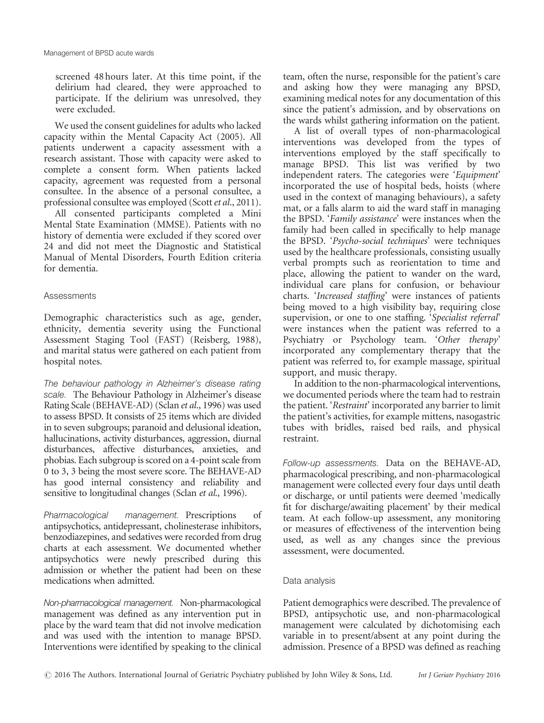screened 48 hours later. At this time point, if the delirium had cleared, they were approached to participate. If the delirium was unresolved, they were excluded.

We used the consent guidelines for adults who lacked capacity within the Mental Capacity Act (2005). All patients underwent a capacity assessment with a research assistant. Those with capacity were asked to complete a consent form. When patients lacked capacity, agreement was requested from a personal consultee. In the absence of a personal consultee, a professional consultee was employed (Scott et al., 2011).

All consented participants completed a Mini Mental State Examination (MMSE). Patients with no history of dementia were excluded if they scored over 24 and did not meet the Diagnostic and Statistical Manual of Mental Disorders, Fourth Edition criteria for dementia.

## **Assessments**

Demographic characteristics such as age, gender, ethnicity, dementia severity using the Functional Assessment Staging Tool (FAST) (Reisberg, 1988), and marital status were gathered on each patient from hospital notes.

The behaviour pathology in Alzheimer's disease rating scale. The Behaviour Pathology in Alzheimer's disease Rating Scale (BEHAVE-AD) (Sclan et al., 1996) was used to assess BPSD. It consists of 25 items which are divided in to seven subgroups; paranoid and delusional ideation, hallucinations, activity disturbances, aggression, diurnal disturbances, affective disturbances, anxieties, and phobias. Each subgroup is scored on a 4-point scale from 0 to 3, 3 being the most severe score. The BEHAVE-AD has good internal consistency and reliability and sensitive to longitudinal changes (Sclan et al., 1996).

Pharmacological management. Prescriptions of antipsychotics, antidepressant, cholinesterase inhibitors, benzodiazepines, and sedatives were recorded from drug charts at each assessment. We documented whether antipsychotics were newly prescribed during this admission or whether the patient had been on these medications when admitted.

Non-pharmacological management. Non-pharmacological management was defined as any intervention put in place by the ward team that did not involve medication and was used with the intention to manage BPSD. Interventions were identified by speaking to the clinical team, often the nurse, responsible for the patient's care and asking how they were managing any BPSD, examining medical notes for any documentation of this since the patient's admission, and by observations on the wards whilst gathering information on the patient.

A list of overall types of non-pharmacological interventions was developed from the types of interventions employed by the staff specifically to manage BPSD. This list was verified by two independent raters. The categories were 'Equipment' incorporated the use of hospital beds, hoists (where used in the context of managing behaviours), a safety mat, or a falls alarm to aid the ward staff in managing the BPSD. 'Family assistance' were instances when the family had been called in specifically to help manage the BPSD. 'Psycho-social techniques' were techniques used by the healthcare professionals, consisting usually verbal prompts such as reorientation to time and place, allowing the patient to wander on the ward, individual care plans for confusion, or behaviour charts. 'Increased staffing' were instances of patients being moved to a high visibility bay, requiring close supervision, or one to one staffing. 'Specialist referral' were instances when the patient was referred to a Psychiatry or Psychology team. 'Other therapy' incorporated any complementary therapy that the patient was referred to, for example massage, spiritual support, and music therapy.

In addition to the non-pharmacological interventions, we documented periods where the team had to restrain the patient. 'Restraint' incorporated any barrier to limit the patient's activities, for example mittens, nasogastric tubes with bridles, raised bed rails, and physical restraint.

Follow-up assessments. Data on the BEHAVE-AD, pharmacological prescribing, and non-pharmacological management were collected every four days until death or discharge, or until patients were deemed 'medically fit for discharge/awaiting placement' by their medical team. At each follow-up assessment, any monitoring or measures of effectiveness of the intervention being used, as well as any changes since the previous assessment, were documented.

## Data analysis

Patient demographics were described. The prevalence of BPSD, antipsychotic use, and non-pharmacological management were calculated by dichotomising each variable in to present/absent at any point during the admission. Presence of a BPSD was defined as reaching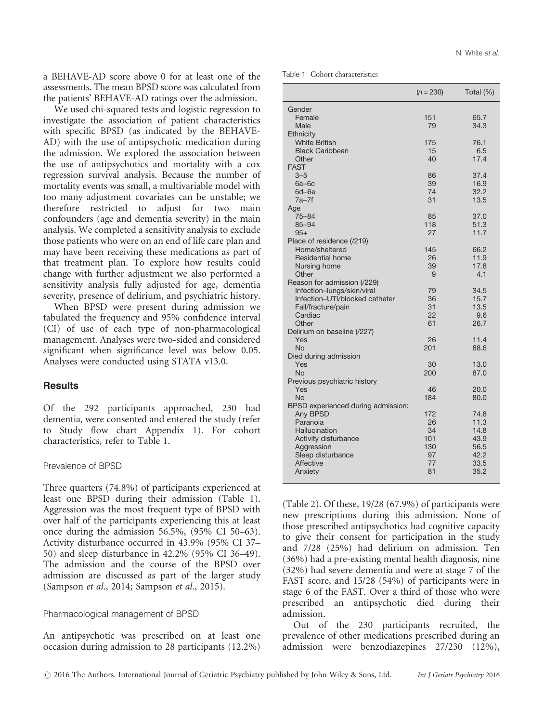N. White et al.

a BEHAVE-AD score above 0 for at least one of the assessments. The mean BPSD score was calculated from the patients' BEHAVE-AD ratings over the admission.

We used chi-squared tests and logistic regression to investigate the association of patient characteristics with specific BPSD (as indicated by the BEHAVE-AD) with the use of antipsychotic medication during the admission. We explored the association between the use of antipsychotics and mortality with a cox regression survival analysis. Because the number of mortality events was small, a multivariable model with too many adjustment covariates can be unstable; we therefore restricted to adjust for two main confounders (age and dementia severity) in the main analysis. We completed a sensitivity analysis to exclude those patients who were on an end of life care plan and may have been receiving these medications as part of that treatment plan. To explore how results could change with further adjustment we also performed a sensitivity analysis fully adjusted for age, dementia severity, presence of delirium, and psychiatric history.

When BPSD were present during admission we tabulated the frequency and 95% confidence interval (CI) of use of each type of non-pharmacological management. Analyses were two-sided and considered significant when significance level was below 0.05. Analyses were conducted using STATA v13.0.

# **Results**

Of the 292 participants approached, 230 had dementia, were consented and entered the study (refer to Study flow chart Appendix 1). For cohort characteristics, refer to Table 1.

# Prevalence of BPSD

Three quarters (74.8%) of participants experienced at least one BPSD during their admission (Table 1). Aggression was the most frequent type of BPSD with over half of the participants experiencing this at least once during the admission 56.5%, (95% CI 50–63). Activity disturbance occurred in 43.9% (95% CI 37– 50) and sleep disturbance in 42.2% (95% CI 36–49). The admission and the course of the BPSD over admission are discussed as part of the larger study (Sampson et al., 2014; Sampson et al., 2015).

# Pharmacological management of BPSD

An antipsychotic was prescribed on at least one occasion during admission to 28 participants (12.2%)

|                                    | $(n = 230)$ | Total (%)    |
|------------------------------------|-------------|--------------|
| Gender                             |             |              |
| Female                             | 151         | 65.7         |
| Male                               | 79          | 34.3         |
| Ethnicity                          |             |              |
| <b>White British</b>               | 175         | 76.1         |
| <b>Black Caribbean</b>             | 15          | 6.5          |
| Other                              | 40          | 17.4         |
| <b>FAST</b>                        |             |              |
| $3 - 5$                            | 86          | 37.4         |
| $6a - 6c$<br>$6d - 6e$             | 39<br>74    | 16.9<br>32.2 |
| $7a-7f$                            | 31          | 13.5         |
| Age                                |             |              |
| $75 - 84$                          | 85          | 37.0         |
| $85 - 94$                          | 118         | 51.3         |
| $95+$                              | 27          | 11.7         |
| Place of residence (/219)          |             |              |
| Home/sheltered                     | 145         | 66.2         |
| Residential home                   | 26          | 11.9         |
| Nursing home                       | 39          | 17.8         |
| Other                              | 9           | 4.1          |
| Reason for admission (/229)        |             |              |
| Infection-lungs/skin/viral         | 79          | 34.5         |
| Infection-UTI/blocked catheter     | 36          | 15.7         |
| Fall/fracture/pain                 | 31          | 13.5         |
| Cardiac<br>Other                   | 22<br>61    | 9.6<br>26.7  |
| Delirium on baseline (/227)        |             |              |
| Yes                                | 26          | 11.4         |
| No                                 | 201         | 88.6         |
| Died during admission              |             |              |
| Yes                                | 30          | 13.0         |
| <b>No</b>                          | 200         | 87.0         |
| Previous psychiatric history       |             |              |
| Yes                                | 46          | 20.0         |
| <b>No</b>                          | 184         | 80.0         |
| BPSD experienced during admission: |             |              |
| Any BPSD                           | 172         | 74.8         |
| Paranoia                           | 26          | 11.3         |
| Hallucination                      | 34          | 14.8         |
| Activity disturbance               | 101         | 43.9         |
| Aggression<br>Sleep disturbance    | 130<br>97   | 56.5<br>42.2 |
| Affective                          | 77          | 33.5         |
| Anxiety                            | 81          | 35.2         |
|                                    |             |              |

(Table 2). Of these, 19/28 (67.9%) of participants were new prescriptions during this admission. None of those prescribed antipsychotics had cognitive capacity to give their consent for participation in the study and 7/28 (25%) had delirium on admission. Ten (36%) had a pre-existing mental health diagnosis, nine (32%) had severe dementia and were at stage 7 of the FAST score, and 15/28 (54%) of participants were in stage 6 of the FAST. Over a third of those who were prescribed an antipsychotic died during their admission.

Out of the 230 participants recruited, the prevalence of other medications prescribed during an admission were benzodiazepines 27/230 (12%),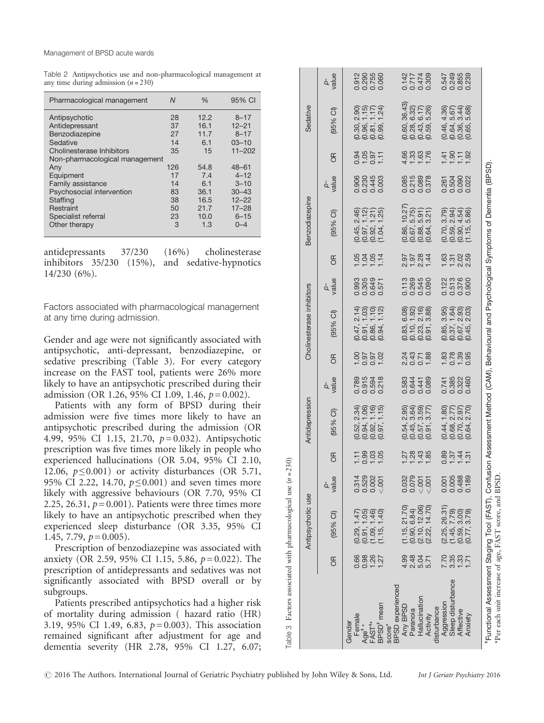Table 2 Antipsychotics use and non-pharmacological management at any time during admission  $(n = 230)$ 

| Pharmacological management                                  | $\overline{N}$ | $\frac{0}{0}$ | 95% CI     |
|-------------------------------------------------------------|----------------|---------------|------------|
| Antipsychotic                                               | 28             | 12.2          | $8 - 17$   |
| Antidepressant                                              | 37             | 16.1          | $12 - 21$  |
| Benzodiazepine                                              | 27             | 11.7          | $8 - 17$   |
| Sedative                                                    | 14             | 6.1           | $03 - 10$  |
| Cholinesterase Inhibitors<br>Non-pharmacological management | 35             | 15            | $11 - 202$ |
| Any                                                         | 126            | 54.8          | $48 - 61$  |
| Equipment                                                   | 17             | 7.4           | $4 - 12$   |
| Family assistance                                           | 14             | 6.1           | $3 - 10$   |
| Psychosocial intervention                                   | 83             | 36.1          | $30 - 43$  |
| Staffing                                                    | 38             | 16.5          | $12 - 22$  |
| Restraint                                                   | 50             | 21.7          | $17 - 28$  |
| Specialist referral                                         | 23             | 10.0          | $6 - 15$   |
| Other therapy                                               | 3              | 1.3           | $0 - 4$    |

antidepressants 37/230 (16%) cholinesterase inhibitors 35/230 (15%), and sedative-hypnotics 14/230 (6%).

Factors associated with pharmacological management at any time during admission.

Gender and age were not significantly associated with antipsychotic, anti-depressant, benzodiazepine, or sedative prescribing (Table 3). For every category increase on the FAST tool, patients were 26% more likely to have an antipsychotic prescribed during their admission (OR 1.26, 95% CI 1.09, 1.46,  $p = 0.002$ ).

Patients with any form of BPSD during their admission were five times more likely to have an antipsychotic prescribed during the admission (OR 4.99, 95% CI 1.15, 21.70, p= 0.032). Antipsychotic prescription was five times more likely in people who experienced hallucinations (OR 5.04, 95% CI 2.10, 12.06,  $p \le 0.001$ ) or activity disturbances (OR 5.71, 95% CI 2.22, 14.70,  $p \le 0.001$ ) and seven times more likely with aggressive behaviours (OR 7.70, 95% CI 2.25, 26.31,  $p = 0.001$ ). Patients were three times more likely to have an antipsychotic prescribed when they experienced sleep disturbance (OR 3.35, 95% CI 1.45, 7.79,  $p = 0.005$ ).

Prescription of benzodiazepine was associated with anxiety (OR 2.59, 95% CI 1.15, 5.86, p= 0.022). The prescription of antidepressants and sedatives was not significantly associated with BPSD overall or by subgroups.

Patients prescribed antipsychotics had a higher risk of mortality during admission ( hazard ratio (HR) 3.19, 95% CI 1.49, 6.83, p= 0.003). This association remained significant after adjustment for age and dementia severity (HR 2.78, 95% CI 1.27, 6.07;

|                                                                                                                                                                                                  |                                            | Antipsychotic use                                                       |                                                             |                                                                       | Antidepression                                                            |                                  |                                 | Cholinesterase inhibitors                                                                                            |                                  |                                | <b>Benzodiazepine</b>                                                     |                                 |                           | Sedative                            |                                                           |
|--------------------------------------------------------------------------------------------------------------------------------------------------------------------------------------------------|--------------------------------------------|-------------------------------------------------------------------------|-------------------------------------------------------------|-----------------------------------------------------------------------|---------------------------------------------------------------------------|----------------------------------|---------------------------------|----------------------------------------------------------------------------------------------------------------------|----------------------------------|--------------------------------|---------------------------------------------------------------------------|---------------------------------|---------------------------|-------------------------------------|-----------------------------------------------------------|
|                                                                                                                                                                                                  | $\frac{1}{2}$                              | $(95%$ CI)                                                              | p-<br>value                                                 | ЭŘ                                                                    | $\widehat{\sigma}$<br>(95%                                                | p-<br>value                      | <b>BO</b>                       | $(95%$ CI)                                                                                                           | $\frac{p}{\sqrt{a}}$             | ЭŘ                             | $(95%$ CI)                                                                | $\frac{\rho}{\text{value}}$     | ЭŘ                        | $(95%$ CI)                          | $\frac{p}{q}$                                             |
| BPSD <sup>#</sup> mean<br>Female<br>Gender<br>FAST <sup>+</sup> *<br>Age <sup>#*</sup>                                                                                                           | 88827                                      | 1.15, 1.40<br>$(0.29, 1.47)$<br>$(0.91, 1.05)$<br>$(1.09, 1.46)$        | $\begin{array}{c}\n 37.88 \\  0.020 \\  0.000\n\end{array}$ | $7.8886$<br>$7.8886$                                                  | 2000<br>10000<br>1000<br>0<br>0 9 0 0<br>0 0 0 0<br>0 0 0 0               | 0.789<br>0.594<br>0.594<br>0.218 | 8558<br>1857<br>1857            | 1<br>1865<br>1111<br>00000                                                                                           | 0.993<br>0.949<br>0.571          | 8387<br>----                   | <b>อ</b> ุลารา<br>ล่ บุลาล<br>ล่ บุ บุ บุ<br>のこの1<br>4.9.9.9.<br>1.9.9.4. |                                 | 11051<br>11051<br>11051   | 8 5 5 7 9<br>9 5 7 7 9<br>9 5 7 7 9 | 0.912<br>0.295<br>0.060                                   |
| <b>BPSD</b> experienced<br>Hallucination<br>Any BPSD<br>disturbance<br>Paranoia<br>Activity<br>score*                                                                                            | 4 0 10 10<br>8 <del>8 9 1</del><br>8 9 9 1 | $(1.15, 21.70)$<br>$(0.90, 6.84)$<br>$(2.10, 12.06)$<br>$(2.22, 14.70)$ |                                                             | $\frac{2}{9}$ $\frac{2}{9}$ $\frac{3}{9}$ $\frac{3}{9}$ $\frac{3}{9}$ | ดิ <del>ส</del> ดิ กิ<br>ดี ซี ติ กิ<br>ด ต ต ต<br>0000<br>04021<br>04071 |                                  | 2137.88<br>2137.88              | $\begin{array}{c}\n\circ \\ \circ \\ \circ \\ \circ \\ \circ \\ \circ \\ \circ\n\end{array}$<br>ត្ត<br>ខ្លួក<br>នាំង |                                  | 0<br>0 0 0 4<br>0 0 4<br>0 0 4 | 10.27<br>5.75)<br>$5.91$<br>$3.21$<br>00000<br>00000<br>0000              | 0.085<br>0.215<br>0.000<br>0.00 | 8<br>8 3 3 5<br>4 1 5 7 6 | 36.43)<br>6.32)<br>6.17)<br>5.26)   | 0.474<br>0.474<br>0.474<br>0.909                          |
| Sleep disturbance<br>Aggression<br>Affective<br>Anxiety                                                                                                                                          | 28821<br>28821                             | $(2.25, 26.31)$<br>$(1.45, 7.79)$<br>$(0.59, 3.00)$<br>0.77, 3.79       | 0.05<br>0.05<br>0.0.189                                     | $0.743$<br>$0.9743$<br>$0.9743$                                       | 00760<br>007675<br>00077<br>00000<br>40004<br>40004                       | 0.385<br>0.382<br>0.382          | 83 R 83 S<br>1 0 1 0<br>1 0 1 0 | ติฐิ<br>ติธุ์ติชิ<br>ต <del>-</del> ผ ผ                                                                              | 0.122<br>0.513<br>0.900<br>0.900 |                                | ดิ สิ นิ ติ<br>ต ผ + ต<br>ต ผ + ต<br>- 2006<br>- 2006<br>- 2007<br>- 2007 | ត្ត<br>ភូមិ<br>តូច<br>តូច ខ្លួ  |                           | 00000<br>40000<br>0000              | $\begin{array}{c} 749600 \\ 749600 \\ 0.0000 \end{array}$ |
| "Functional Assessment Staging Tool (FAST), Confusion Assessment Method (CAM), Behavioural and Psychological Symptoms of Dementia (BPSD)<br>*Per each unit increase of age, FAST score, and BPSI |                                            |                                                                         |                                                             |                                                                       |                                                                           |                                  |                                 |                                                                                                                      |                                  |                                |                                                                           |                                 |                           |                                     |                                                           |

Table 3 Factors associated with pharmacological use  $(n = 230)$ 

 $\infty$ Table:

Factors associated with pharmacological use  $(n = 230)$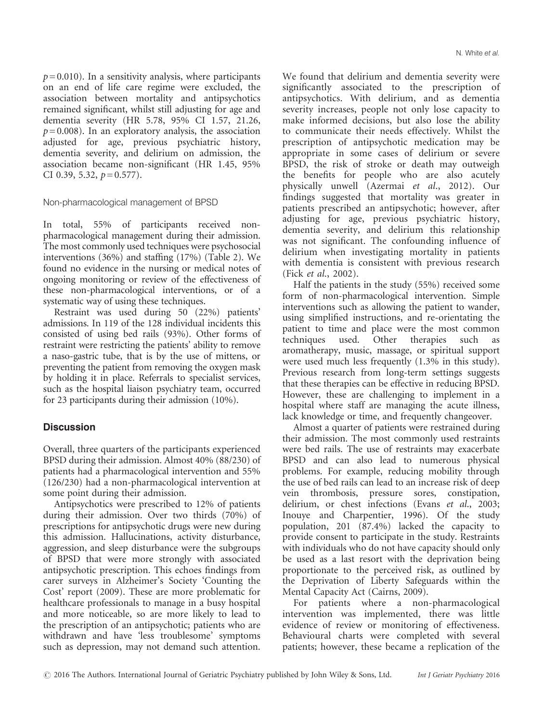$p = 0.010$ ). In a sensitivity analysis, where participants on an end of life care regime were excluded, the association between mortality and antipsychotics remained significant, whilst still adjusting for age and dementia severity (HR 5.78, 95% CI 1.57, 21.26,  $p = 0.008$ ). In an exploratory analysis, the association adjusted for age, previous psychiatric history, dementia severity, and delirium on admission, the association became non-significant (HR 1.45, 95% CI 0.39, 5.32,  $p = 0.577$ ).

Non-pharmacological management of BPSD

In total, 55% of participants received nonpharmacological management during their admission. The most commonly used techniques were psychosocial interventions (36%) and staffing (17%) (Table 2). We found no evidence in the nursing or medical notes of ongoing monitoring or review of the effectiveness of these non-pharmacological interventions, or of a systematic way of using these techniques.

Restraint was used during 50 (22%) patients' admissions. In 119 of the 128 individual incidents this consisted of using bed rails (93%). Other forms of restraint were restricting the patients' ability to remove a naso-gastric tube, that is by the use of mittens, or preventing the patient from removing the oxygen mask by holding it in place. Referrals to specialist services, such as the hospital liaison psychiatry team, occurred for 23 participants during their admission (10%).

## **Discussion**

Overall, three quarters of the participants experienced BPSD during their admission. Almost 40% (88/230) of patients had a pharmacological intervention and 55% (126/230) had a non-pharmacological intervention at some point during their admission.

Antipsychotics were prescribed to 12% of patients during their admission. Over two thirds (70%) of prescriptions for antipsychotic drugs were new during this admission. Hallucinations, activity disturbance, aggression, and sleep disturbance were the subgroups of BPSD that were more strongly with associated antipsychotic prescription. This echoes findings from carer surveys in Alzheimer's Society 'Counting the Cost' report (2009). These are more problematic for healthcare professionals to manage in a busy hospital and more noticeable, so are more likely to lead to the prescription of an antipsychotic; patients who are withdrawn and have 'less troublesome' symptoms such as depression, may not demand such attention.

We found that delirium and dementia severity were significantly associated to the prescription of antipsychotics. With delirium, and as dementia severity increases, people not only lose capacity to make informed decisions, but also lose the ability to communicate their needs effectively. Whilst the prescription of antipsychotic medication may be appropriate in some cases of delirium or severe BPSD, the risk of stroke or death may outweigh the benefits for people who are also acutely physically unwell (Azermai et al., 2012). Our findings suggested that mortality was greater in patients prescribed an antipsychotic; however, after adjusting for age, previous psychiatric history, dementia severity, and delirium this relationship was not significant. The confounding influence of delirium when investigating mortality in patients with dementia is consistent with previous research (Fick et al., 2002).

Half the patients in the study (55%) received some form of non-pharmacological intervention. Simple interventions such as allowing the patient to wander, using simplified instructions, and re-orientating the patient to time and place were the most common techniques used. Other therapies such aromatherapy, music, massage, or spiritual support were used much less frequently (1.3% in this study). Previous research from long-term settings suggests that these therapies can be effective in reducing BPSD. However, these are challenging to implement in a hospital where staff are managing the acute illness, lack knowledge or time, and frequently changeover.

Almost a quarter of patients were restrained during their admission. The most commonly used restraints were bed rails. The use of restraints may exacerbate BPSD and can also lead to numerous physical problems. For example, reducing mobility through the use of bed rails can lead to an increase risk of deep vein thrombosis, pressure sores, constipation, delirium, or chest infections (Evans et al., 2003; Inouye and Charpentier, 1996). Of the study population, 201 (87.4%) lacked the capacity to provide consent to participate in the study. Restraints with individuals who do not have capacity should only be used as a last resort with the deprivation being proportionate to the perceived risk, as outlined by the Deprivation of Liberty Safeguards within the Mental Capacity Act (Cairns, 2009).

For patients where a non-pharmacological intervention was implemented, there was little evidence of review or monitoring of effectiveness. Behavioural charts were completed with several patients; however, these became a replication of the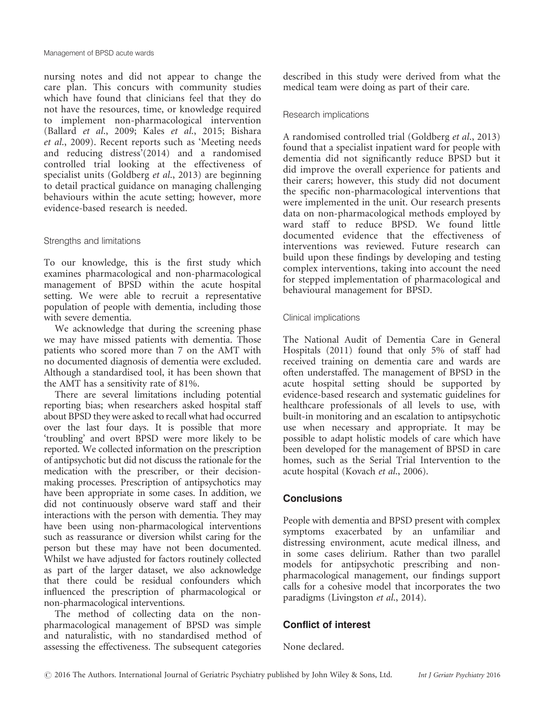nursing notes and did not appear to change the care plan. This concurs with community studies which have found that clinicians feel that they do not have the resources, time, or knowledge required to implement non-pharmacological intervention (Ballard et al., 2009; Kales et al., 2015; Bishara et al., 2009). Recent reports such as 'Meeting needs and reducing distress'(2014) and a randomised controlled trial looking at the effectiveness of specialist units (Goldberg *et al.*, 2013) are beginning to detail practical guidance on managing challenging behaviours within the acute setting; however, more evidence-based research is needed.

## Strengths and limitations

To our knowledge, this is the first study which examines pharmacological and non-pharmacological management of BPSD within the acute hospital setting. We were able to recruit a representative population of people with dementia, including those with severe dementia.

We acknowledge that during the screening phase we may have missed patients with dementia. Those patients who scored more than 7 on the AMT with no documented diagnosis of dementia were excluded. Although a standardised tool, it has been shown that the AMT has a sensitivity rate of 81%.

There are several limitations including potential reporting bias; when researchers asked hospital staff about BPSD they were asked to recall what had occurred over the last four days. It is possible that more 'troubling' and overt BPSD were more likely to be reported. We collected information on the prescription of antipsychotic but did not discuss the rationale for the medication with the prescriber, or their decisionmaking processes. Prescription of antipsychotics may have been appropriate in some cases. In addition, we did not continuously observe ward staff and their interactions with the person with dementia. They may have been using non-pharmacological interventions such as reassurance or diversion whilst caring for the person but these may have not been documented. Whilst we have adjusted for factors routinely collected as part of the larger dataset, we also acknowledge that there could be residual confounders which influenced the prescription of pharmacological or non-pharmacological interventions.

The method of collecting data on the nonpharmacological management of BPSD was simple and naturalistic, with no standardised method of assessing the effectiveness. The subsequent categories described in this study were derived from what the medical team were doing as part of their care.

## Research implications

A randomised controlled trial (Goldberg et al., 2013) found that a specialist inpatient ward for people with dementia did not significantly reduce BPSD but it did improve the overall experience for patients and their carers; however, this study did not document the specific non-pharmacological interventions that were implemented in the unit. Our research presents data on non-pharmacological methods employed by ward staff to reduce BPSD. We found little documented evidence that the effectiveness of interventions was reviewed. Future research can build upon these findings by developing and testing complex interventions, taking into account the need for stepped implementation of pharmacological and behavioural management for BPSD.

# Clinical implications

The National Audit of Dementia Care in General Hospitals (2011) found that only 5% of staff had received training on dementia care and wards are often understaffed. The management of BPSD in the acute hospital setting should be supported by evidence-based research and systematic guidelines for healthcare professionals of all levels to use, with built-in monitoring and an escalation to antipsychotic use when necessary and appropriate. It may be possible to adapt holistic models of care which have been developed for the management of BPSD in care homes, such as the Serial Trial Intervention to the acute hospital (Kovach et al., 2006).

# **Conclusions**

People with dementia and BPSD present with complex symptoms exacerbated by an unfamiliar and distressing environment, acute medical illness, and in some cases delirium. Rather than two parallel models for antipsychotic prescribing and nonpharmacological management, our findings support calls for a cohesive model that incorporates the two paradigms (Livingston et al., 2014).

# Conflict of interest

None declared.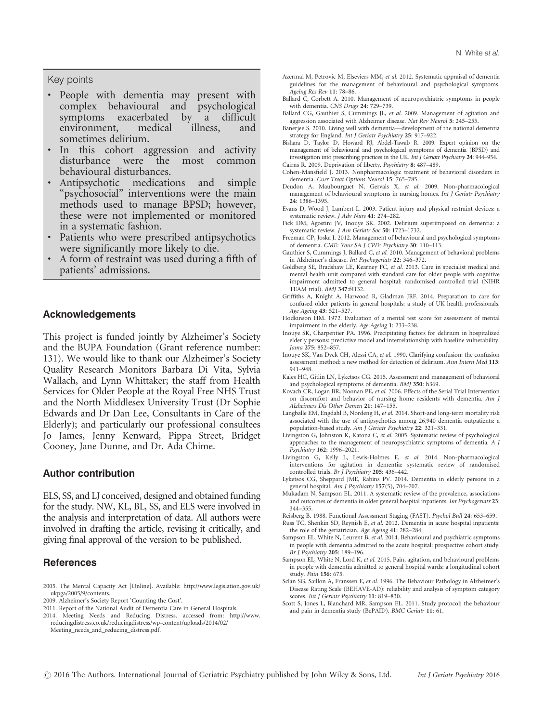## Key points

- People with dementia may present with complex behavioural and psychological symptoms exacerbated by a difficult<br>environment, medical illness, and environment, medical illness, and sometimes delirium.
- In this cohort aggression and activity disturbance were the most common behavioural disturbances.
- Antipsychotic medications and simple "psychosocial" interventions were the main methods used to manage BPSD; however, these were not implemented or monitored in a systematic fashion.
- Patients who were prescribed antipsychotics were significantly more likely to die.
- A form of restraint was used during a fifth of patients' admissions.

#### Acknowledgements

This project is funded jointly by Alzheimer's Society and the BUPA Foundation (Grant reference number: 131). We would like to thank our Alzheimer's Society Quality Research Monitors Barbara Di Vita, Sylvia Wallach, and Lynn Whittaker; the staff from Health Services for Older People at the Royal Free NHS Trust and the North Middlesex University Trust (Dr Sophie Edwards and Dr Dan Lee, Consultants in Care of the Elderly); and particularly our professional consultees Jo James, Jenny Kenward, Pippa Street, Bridget Cooney, Jane Dunne, and Dr. Ada Chime.

#### Author contribution

ELS, SS, and LJ conceived, designed and obtained funding for the study. NW, KL, BL, SS, and ELS were involved in the analysis and interpretation of data. All authors were involved in drafting the article, revising it critically, and giving final approval of the version to be published.

#### **References**

2005. The Mental Capacity Act [Online]. Available: [http://www.legislation.gov.uk/](http://www.legislation.gov.uk/ukpga/2005/9/contents) [ukpga/2005/9/contents](http://www.legislation.gov.uk/ukpga/2005/9/contents).

2011. Report of the National Audit of Dementia Care in General Hospitals.

- Azermai M, Petrovic M, Elseviers MM, et al. 2012. Systematic appraisal of dementia guidelines for the management of behavioural and psychological symptoms. Ageing Res Rev 11: 78–86.
- Ballard C, Corbett A. 2010. Management of neuropsychiatric symptoms in people with dementia. CNS Drugs 24: 729–739.
- Ballard CG, Gauthier S, Cummings JL, et al. 2009. Management of agitation and aggression associated with Alzheimer disease. Nat Rev Neurol 5: 245–255.
- Banerjee S. 2010. Living well with dementia—development of the national dementia strategy for England. Int J Geriatr Psychiatry 25: 917–922.
- Bishara D, Taylor D, Howard RJ, Abdel-Tawab R. 2009. Expert opinion on the management of behavioural and psychological symptoms of dementia (BPSD) and investigation into prescribing practices in the UK. Int J Geriatr Psychiatry 24: 944–954. Cairns R. 2009. Deprivation of liberty. Psychiatry 8: 487–489.
- Cohen-Mansfield J. 2013. Nonpharmacologic treatment of behavioral disorders in dementia. Curr Treat Options Neurol 15: 765–785.
- Deudon A, Maubourguet N, Gervais X, et al. 2009. Non-pharmacological management of behavioural symptoms in nursing homes. Int J Geriatr Psychiatry 24: 1386–1395.
- Evans D, Wood J, Lambert L. 2003. Patient injury and physical restraint devices: a systematic review. J Adv Nurs 41: 274–282.
- Fick DM, Agostini JV, Inouye SK. 2002. Delirium superimposed on dementia: a systematic review. J Am Geriatr Soc 50: 1723–1732.
- Freeman CP, Joska J. 2012. Management of behavioural and psychological symptoms of dementia. CME: Your SA J CPD: Psychiatry 30: 110–113.
- Gauthier S, Cummings J, Ballard C, et al. 2010. Management of behavioral problems in Alzheimer's disease. Int Psychogeriatr 22: 346–372.
- Goldberg SE, Bradshaw LE, Kearney FC, et al. 2013. Care in specialist medical and mental health unit compared with standard care for older people with cognitive impairment admitted to general hospital: randomised controlled trial (NIHR TEAM trial). BMJ 347:f4132.
- Griffiths A, Knight A, Harwood R, Gladman JRF. 2014. Preparation to care for confused older patients in general hospitals: a study of UK health professionals. Age Ageing 43: 521–527.
- Hodkinson HM. 1972. Evaluation of a mental test score for assessment of mental impairment in the elderly. Age Ageing 1: 233–238.
- Inouye SK, Charpentier PA. 1996. Precipitating factors for delirium in hospitalized elderly persons: predictive model and interrelationship with baseline vulnerability. Jama 275: 852–857.
- Inouye SK, Van Dyck CH, Alessi CA, et al. 1990. Clarifying confusion: the confusion assessment method: a new method for detection of delirium. Ann Intern Med 113: 941–948.
- Kales HC, Gitlin LN, Lyketsos CG. 2015. Assessment and management of behavioral and psychological symptoms of dementia. BMJ 350: h369.
- Kovach CR, Logan BR, Noonan PE, et al. 2006. Effects of the Serial Trial Intervention on discomfort and behavior of nursing home residents with dementia. Am J Alzheimers Dis Other Demen 21: 147–155.
- Langballe EM, Engdahl B, Nordeng H, et al. 2014. Short-and long-term mortality risk associated with the use of antipsychotics among 26,940 dementia outpatients: a population-based study. Am J Geriatr Psychiatry 22: 321–331.
- Livingston G, Johnston K, Katona C, et al. 2005. Systematic review of psychological approaches to the management of neuropsychiatric symptoms of dementia. A J Psychiatry 162: 1996–2021.
- Livingston G, Kelly L, Lewis-Holmes E, et al. 2014. Non-pharmacological interventions for agitation in dementia: systematic review of randomised controlled trials. Br J Psychiatry 205: 436–442.
- Lyketsos CG, Sheppard JME, Rabins PV. 2014. Dementia in elderly persons in a general hospital. Am J Psychiatry 157(5), 704-707.
- Mukadam N, Sampson EL. 2011. A systematic review of the prevalence, associations and outcomes of dementia in older general hospital inpatients. Int Psychogeriatr 23: 344–355.
- Reisberg B. 1988. Functional Assessment Staging (FAST). Psychol Bull 24: 653–659. Russ TC, Shenkin SD, Reynish E, et al. 2012. Dementia in acute hospital inpatients:
- the role of the geriatrician. Age Ageing 41: 282–284. Sampson EL, White N, Leurent B, et al. 2014. Behavioural and psychiatric symptoms in people with dementia admitted to the acute hospital: prospective cohort study.
- Br J Psychiatry 205: 189–196. Sampson EL, White N, Lord K, et al. 2015. Pain, agitation, and behavioural problems
- in people with dementia admitted to general hospital wards: a longitudinal cohort study. Pain 156: 675. Sclan SG, Saillon A, Franssen E, et al. 1996. The Behaviour Pathology in Alzheimer's
- Disease Rating Scale (BEHAVE-AD): reliability and analysis of symptom category scores. Int J Geriatr Psychiatry 11: 819–830.
- Scott S, Jones L, Blanchard MR, Sampson EL. 2011. Study protocol: the behaviour and pain in dementia study (BePAID). BMC Geriatr 11: 61.

<sup>2009.</sup> Alzheimer's Society Report 'Counting the Cost'.

<sup>2014.</sup> Meeting Needs and Reducing Distress. accessed from: [http://www.](http://www.reducingdistress.co.uk/reducingdistress/wp-content/uploads/2014/02/Meeting_needs_and_reducing_distress.pdf) [reducingdistress.co.uk/reducingdistress/wp-content/uploads/2014/02/](http://www.reducingdistress.co.uk/reducingdistress/wp-content/uploads/2014/02/Meeting_needs_and_reducing_distress.pdf) [Meeting\\_needs\\_and\\_reducing\\_distress.pdf.](http://www.reducingdistress.co.uk/reducingdistress/wp-content/uploads/2014/02/Meeting_needs_and_reducing_distress.pdf)